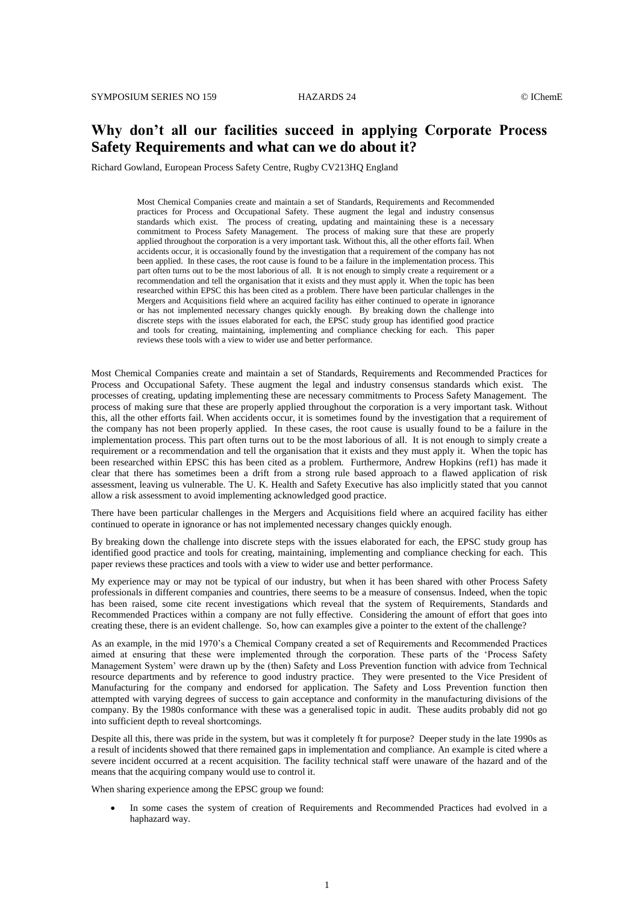# **Why don't all our facilities succeed in applying Corporate Process Safety Requirements and what can we do about it?**

Richard Gowland, European Process Safety Centre, Rugby CV213HQ England

Most Chemical Companies create and maintain a set of Standards, Requirements and Recommended practices for Process and Occupational Safety. These augment the legal and industry consensus standards which exist. The process of creating, updating and maintaining these is a necessary commitment to Process Safety Management. The process of making sure that these are properly applied throughout the corporation is a very important task. Without this, all the other efforts fail. When accidents occur, it is occasionally found by the investigation that a requirement of the company has not been applied. In these cases, the root cause is found to be a failure in the implementation process. This part often turns out to be the most laborious of all. It is not enough to simply create a requirement or a recommendation and tell the organisation that it exists and they must apply it. When the topic has been researched within EPSC this has been cited as a problem. There have been particular challenges in the Mergers and Acquisitions field where an acquired facility has either continued to operate in ignorance or has not implemented necessary changes quickly enough. By breaking down the challenge into discrete steps with the issues elaborated for each, the EPSC study group has identified good practice and tools for creating, maintaining, implementing and compliance checking for each. This paper reviews these tools with a view to wider use and better performance.

Most Chemical Companies create and maintain a set of Standards, Requirements and Recommended Practices for Process and Occupational Safety. These augment the legal and industry consensus standards which exist. The processes of creating, updating implementing these are necessary commitments to Process Safety Management. The process of making sure that these are properly applied throughout the corporation is a very important task. Without this, all the other efforts fail. When accidents occur, it is sometimes found by the investigation that a requirement of the company has not been properly applied. In these cases, the root cause is usually found to be a failure in the implementation process. This part often turns out to be the most laborious of all. It is not enough to simply create a requirement or a recommendation and tell the organisation that it exists and they must apply it. When the topic has been researched within EPSC this has been cited as a problem. Furthermore, Andrew Hopkins (ref1) has made it clear that there has sometimes been a drift from a strong rule based approach to a flawed application of risk assessment, leaving us vulnerable. The U. K. Health and Safety Executive has also implicitly stated that you cannot allow a risk assessment to avoid implementing acknowledged good practice.

There have been particular challenges in the Mergers and Acquisitions field where an acquired facility has either continued to operate in ignorance or has not implemented necessary changes quickly enough.

By breaking down the challenge into discrete steps with the issues elaborated for each, the EPSC study group has identified good practice and tools for creating, maintaining, implementing and compliance checking for each. This paper reviews these practices and tools with a view to wider use and better performance.

My experience may or may not be typical of our industry, but when it has been shared with other Process Safety professionals in different companies and countries, there seems to be a measure of consensus. Indeed, when the topic has been raised, some cite recent investigations which reveal that the system of Requirements, Standards and Recommended Practices within a company are not fully effective. Considering the amount of effort that goes into creating these, there is an evident challenge. So, how can examples give a pointer to the extent of the challenge?

As an example, in the mid 1970's a Chemical Company created a set of Requirements and Recommended Practices aimed at ensuring that these were implemented through the corporation. These parts of the 'Process Safety Management System' were drawn up by the (then) Safety and Loss Prevention function with advice from Technical resource departments and by reference to good industry practice. They were presented to the Vice President of Manufacturing for the company and endorsed for application. The Safety and Loss Prevention function then attempted with varying degrees of success to gain acceptance and conformity in the manufacturing divisions of the company. By the 1980s conformance with these was a generalised topic in audit. These audits probably did not go into sufficient depth to reveal shortcomings.

Despite all this, there was pride in the system, but was it completely ft for purpose? Deeper study in the late 1990s as a result of incidents showed that there remained gaps in implementation and compliance. An example is cited where a severe incident occurred at a recent acquisition. The facility technical staff were unaware of the hazard and of the means that the acquiring company would use to control it.

When sharing experience among the EPSC group we found:

 In some cases the system of creation of Requirements and Recommended Practices had evolved in a haphazard way.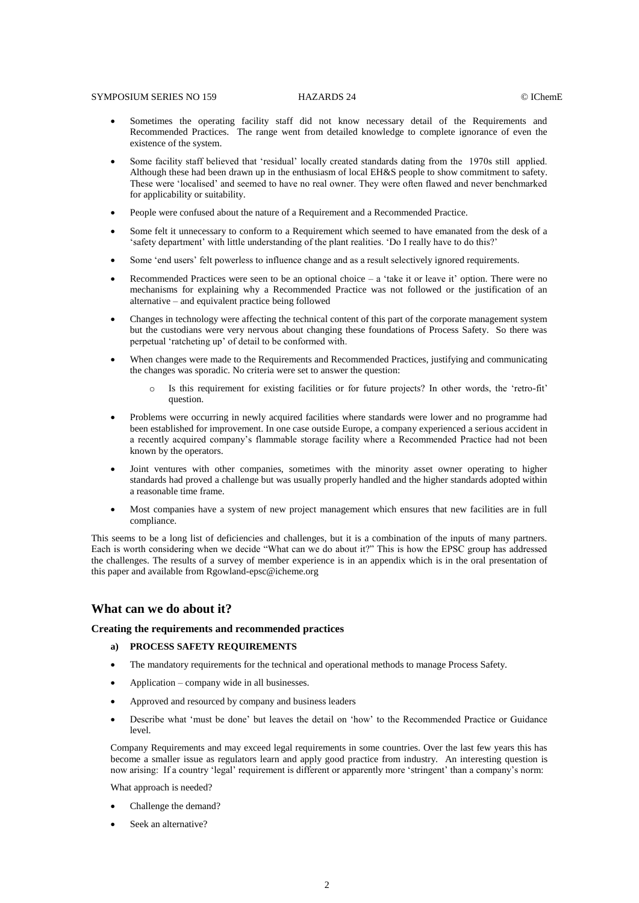#### SYMPOSIUM SERIES NO 159 HAZARDS 24 CIChemE

- Sometimes the operating facility staff did not know necessary detail of the Requirements and Recommended Practices. The range went from detailed knowledge to complete ignorance of even the existence of the system.
- Some facility staff believed that 'residual' locally created standards dating from the 1970s still applied. Although these had been drawn up in the enthusiasm of local EH&S people to show commitment to safety. These were 'localised' and seemed to have no real owner. They were often flawed and never benchmarked for applicability or suitability.
- People were confused about the nature of a Requirement and a Recommended Practice.
- Some felt it unnecessary to conform to a Requirement which seemed to have emanated from the desk of a 'safety department' with little understanding of the plant realities. 'Do I really have to do this?'
- Some 'end users' felt powerless to influence change and as a result selectively ignored requirements.
- Recommended Practices were seen to be an optional choice  $-$  a 'take it or leave it' option. There were no mechanisms for explaining why a Recommended Practice was not followed or the justification of an alternative – and equivalent practice being followed
- Changes in technology were affecting the technical content of this part of the corporate management system but the custodians were very nervous about changing these foundations of Process Safety. So there was perpetual 'ratcheting up' of detail to be conformed with.
- When changes were made to the Requirements and Recommended Practices, justifying and communicating the changes was sporadic. No criteria were set to answer the question:
	- o Is this requirement for existing facilities or for future projects? In other words, the 'retro-fit' question.
- Problems were occurring in newly acquired facilities where standards were lower and no programme had been established for improvement. In one case outside Europe, a company experienced a serious accident in a recently acquired company's flammable storage facility where a Recommended Practice had not been known by the operators.
- Joint ventures with other companies, sometimes with the minority asset owner operating to higher standards had proved a challenge but was usually properly handled and the higher standards adopted within a reasonable time frame.
- Most companies have a system of new project management which ensures that new facilities are in full compliance.

This seems to be a long list of deficiencies and challenges, but it is a combination of the inputs of many partners. Each is worth considering when we decide "What can we do about it?" This is how the EPSC group has addressed the challenges. The results of a survey of member experience is in an appendix which is in the oral presentation of this paper and available fro[m Rgowland-epsc@icheme.org](mailto:Rgowland-epsc@icheme.org)

### **What can we do about it?**

#### **Creating the requirements and recommended practices**

#### **a) PROCESS SAFETY REQUIREMENTS**

- The mandatory requirements for the technical and operational methods to manage Process Safety.
- Application company wide in all businesses.
- Approved and resourced by company and business leaders
- Describe what 'must be done' but leaves the detail on 'how' to the Recommended Practice or Guidance level.

Company Requirements and may exceed legal requirements in some countries. Over the last few years this has become a smaller issue as regulators learn and apply good practice from industry. An interesting question is now arising: If a country 'legal' requirement is different or apparently more 'stringent' than a company's norm:

What approach is needed?

- Challenge the demand?
- Seek an alternative?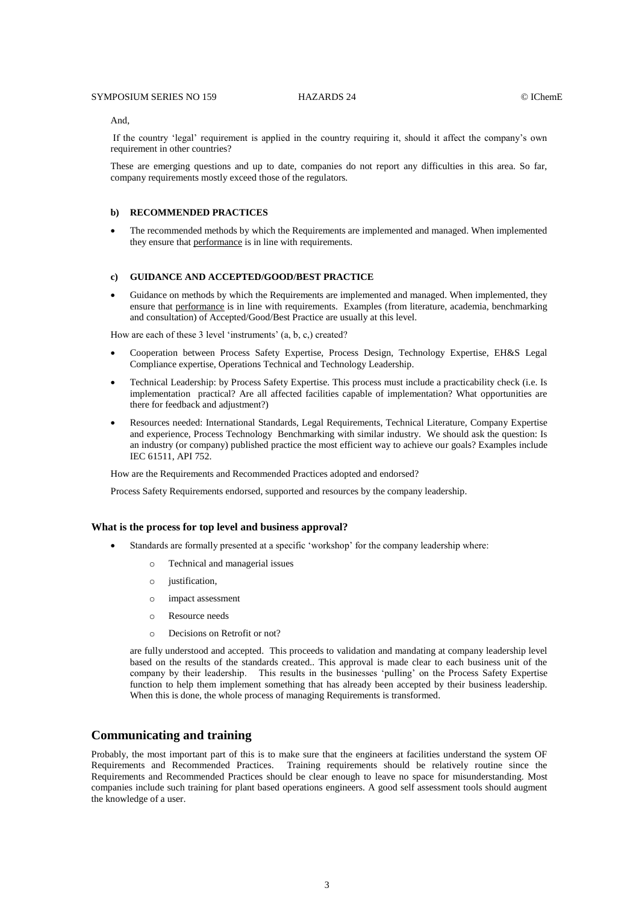#### And,

If the country 'legal' requirement is applied in the country requiring it, should it affect the company's own requirement in other countries?

These are emerging questions and up to date, companies do not report any difficulties in this area. So far, company requirements mostly exceed those of the regulators.

#### **b) RECOMMENDED PRACTICES**

 The recommended methods by which the Requirements are implemented and managed. When implemented they ensure that performance is in line with requirements.

# **c) GUIDANCE AND ACCEPTED/GOOD/BEST PRACTICE**

 Guidance on methods by which the Requirements are implemented and managed. When implemented, they ensure that performance is in line with requirements. Examples (from literature, academia, benchmarking and consultation) of Accepted/Good/Best Practice are usually at this level.

How are each of these 3 level 'instruments' (a, b, c,) created?

- Cooperation between Process Safety Expertise, Process Design, Technology Expertise, EH&S Legal Compliance expertise, Operations Technical and Technology Leadership.
- Technical Leadership: by Process Safety Expertise. This process must include a practicability check (i.e. Is implementation practical? Are all affected facilities capable of implementation? What opportunities are there for feedback and adjustment?)
- Resources needed: International Standards, Legal Requirements, Technical Literature, Company Expertise and experience, Process Technology Benchmarking with similar industry. We should ask the question: Is an industry (or company) published practice the most efficient way to achieve our goals? Examples include IEC 61511, API 752.

How are the Requirements and Recommended Practices adopted and endorsed?

Process Safety Requirements endorsed, supported and resources by the company leadership.

#### **What is the process for top level and business approval?**

- Standards are formally presented at a specific 'workshop' for the company leadership where:
	- o Technical and managerial issues
	- o justification,
	- o impact assessment
	- o Resource needs
	- o Decisions on Retrofit or not?

are fully understood and accepted. This proceeds to validation and mandating at company leadership level based on the results of the standards created.. This approval is made clear to each business unit of the company by their leadership. This results in the businesses 'pulling' on the Process Safety Expertise function to help them implement something that has already been accepted by their business leadership. When this is done, the whole process of managing Requirements is transformed.

# **Communicating and training**

Probably, the most important part of this is to make sure that the engineers at facilities understand the system OF Requirements and Recommended Practices. Training requirements should be relatively routine since the Requirements and Recommended Practices should be clear enough to leave no space for misunderstanding. Most companies include such training for plant based operations engineers. A good self assessment tools should augment the knowledge of a user.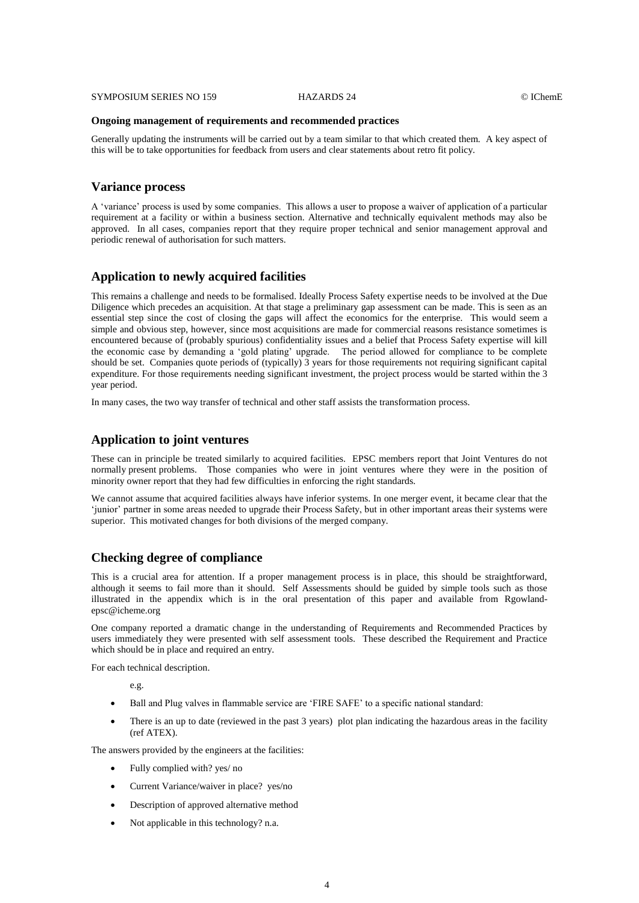#### **Ongoing management of requirements and recommended practices**

Generally updating the instruments will be carried out by a team similar to that which created them. A key aspect of this will be to take opportunities for feedback from users and clear statements about retro fit policy.

# **Variance process**

A 'variance' process is used by some companies. This allows a user to propose a waiver of application of a particular requirement at a facility or within a business section. Alternative and technically equivalent methods may also be approved. In all cases, companies report that they require proper technical and senior management approval and periodic renewal of authorisation for such matters.

# **Application to newly acquired facilities**

This remains a challenge and needs to be formalised. Ideally Process Safety expertise needs to be involved at the Due Diligence which precedes an acquisition. At that stage a preliminary gap assessment can be made. This is seen as an essential step since the cost of closing the gaps will affect the economics for the enterprise. This would seem a simple and obvious step, however, since most acquisitions are made for commercial reasons resistance sometimes is encountered because of (probably spurious) confidentiality issues and a belief that Process Safety expertise will kill the economic case by demanding a 'gold plating' upgrade. The period allowed for compliance to be complete should be set. Companies quote periods of (typically) 3 years for those requirements not requiring significant capital expenditure. For those requirements needing significant investment, the project process would be started within the 3 year period.

In many cases, the two way transfer of technical and other staff assists the transformation process.

# **Application to joint ventures**

These can in principle be treated similarly to acquired facilities. EPSC members report that Joint Ventures do not normally present problems. Those companies who were in joint ventures where they were in the position of minority owner report that they had few difficulties in enforcing the right standards.

We cannot assume that acquired facilities always have inferior systems. In one merger event, it became clear that the 'junior' partner in some areas needed to upgrade their Process Safety, but in other important areas their systems were superior. This motivated changes for both divisions of the merged company.

# **Checking degree of compliance**

This is a crucial area for attention. If a proper management process is in place, this should be straightforward, although it seems to fail more than it should. Self Assessments should be guided by simple tools such as those illustrated in the appendix which is in the oral presentation of this paper and available from [Rgowland](mailto:Rgowland-epsc@icheme.org)[epsc@icheme.org](mailto:Rgowland-epsc@icheme.org)

One company reported a dramatic change in the understanding of Requirements and Recommended Practices by users immediately they were presented with self assessment tools. These described the Requirement and Practice which should be in place and required an entry.

For each technical description.

e.g.

- Ball and Plug valves in flammable service are 'FIRE SAFE' to a specific national standard:
- There is an up to date (reviewed in the past 3 years) plot plan indicating the hazardous areas in the facility (ref ATEX).

The answers provided by the engineers at the facilities:

- Fully complied with? yes/ no
- Current Variance/waiver in place? yes/no
- Description of approved alternative method
- Not applicable in this technology? n.a.